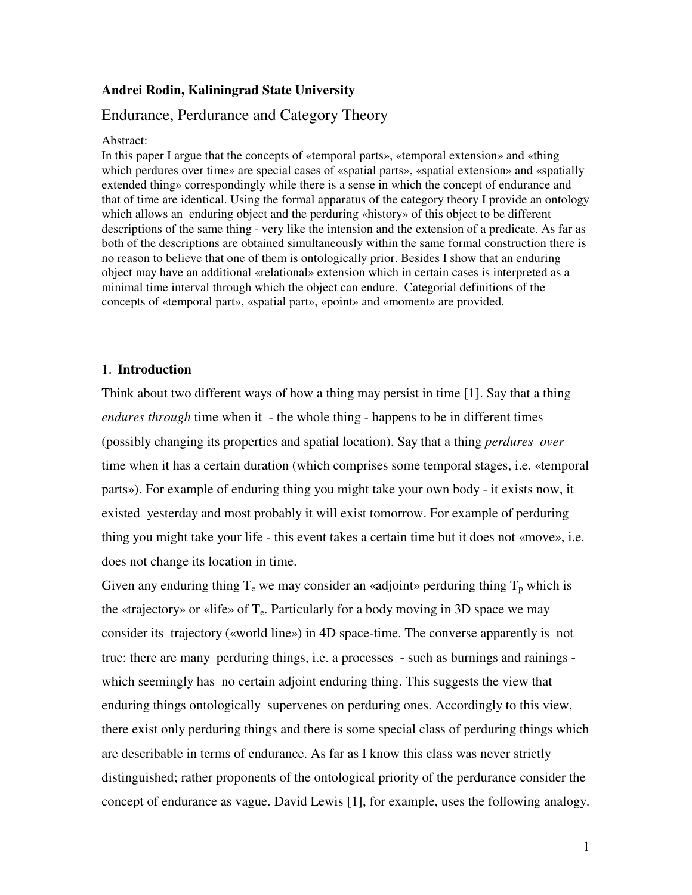## **Andrei Rodin, Kaliningrad State University**

# Endurance, Perdurance and Category Theory

#### Abstract:

In this paper I argue that the concepts of «temporal parts», «temporal extension» and «thing which perdures over time» are special cases of «spatial parts», «spatial extension» and «spatially extended thing» correspondingly while there is a sense in which the concept of endurance and that of time are identical. Using the formal apparatus of the category theory I provide an ontology which allows an enduring object and the perduring «history» of this object to be different descriptions of the same thing - very like the intension and the extension of a predicate. As far as both of the descriptions are obtained simultaneously within the same formal construction there is no reason to believe that one of them is ontologically prior. Besides I show that an enduring object may have an additional «relational» extension which in certain cases is interpreted as a minimal time interval through which the object can endure. Categorial definitions of the concepts of «temporal part», «spatial part», «point» and «moment» are provided.

### 1. **Introduction**

Think about two different ways of how a thing may persist in time [1]. Say that a thing *endures through* time when it - the whole thing - happens to be in different times (possibly changing its properties and spatial location). Say that a thing *perdures over* time when it has a certain duration (which comprises some temporal stages, i.e. «temporal parts»). For example of enduring thing you might take your own body - it exists now, it existed yesterday and most probably it will exist tomorrow. For example of perduring thing you might take your life - this event takes a certain time but it does not «move», i.e. does not change its location in time.

Given any enduring thing  $T_e$  we may consider an «adjoint» perduring thing  $T_p$  which is the «trajectory» or «life» of  $T_e$ . Particularly for a body moving in 3D space we may consider its trajectory («world line») in 4D space-time. The converse apparently is not true: there are many perduring things, i.e. a processes - such as burnings and rainings which seemingly has no certain adjoint enduring thing. This suggests the view that enduring things ontologically supervenes on perduring ones. Accordingly to this view, there exist only perduring things and there is some special class of perduring things which are describable in terms of endurance. As far as I know this class was never strictly distinguished; rather proponents of the ontological priority of the perdurance consider the concept of endurance as vague. David Lewis [1], for example, uses the following analogy.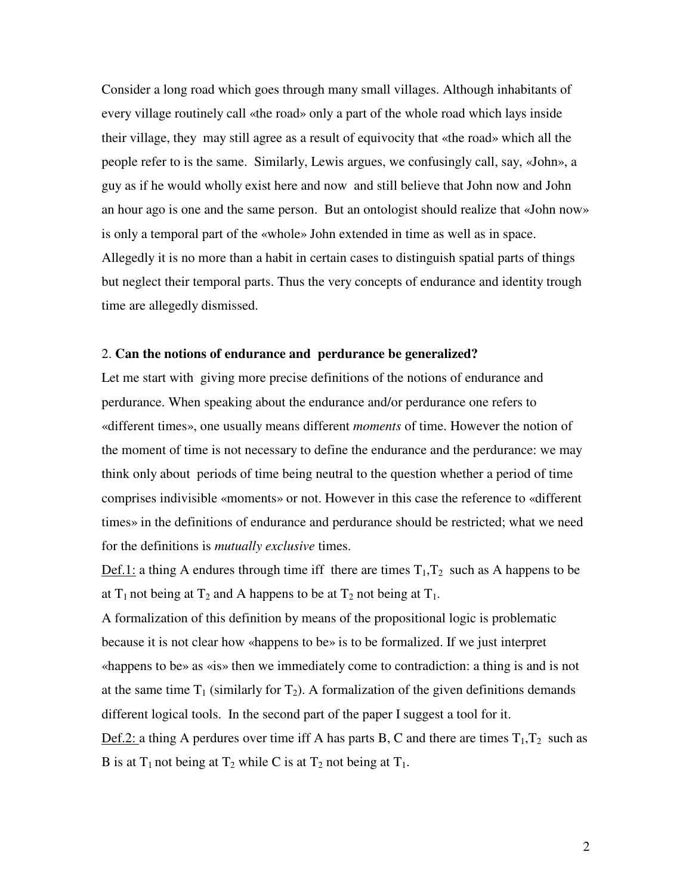Consider a long road which goes through many small villages. Although inhabitants of every village routinely call «the road» only a part of the whole road which lays inside their village, they may still agree as a result of equivocity that «the road» which all the people refer to is the same. Similarly, Lewis argues, we confusingly call, say, «John», a guy as if he would wholly exist here and now and still believe that John now and John an hour ago is one and the same person. But an ontologist should realize that «John now» is only a temporal part of the «whole» John extended in time as well as in space. Allegedly it is no more than a habit in certain cases to distinguish spatial parts of things but neglect their temporal parts. Thus the very concepts of endurance and identity trough time are allegedly dismissed.

### 2. **Can the notions of endurance and perdurance be generalized?**

Let me start with giving more precise definitions of the notions of endurance and perdurance. When speaking about the endurance and/or perdurance one refers to «different times», one usually means different *moments* of time. However the notion of the moment of time is not necessary to define the endurance and the perdurance: we may think only about periods of time being neutral to the question whether a period of time comprises indivisible «moments» or not. However in this case the reference to «different times» in the definitions of endurance and perdurance should be restricted; what we need for the definitions is *mutually exclusive* times.

Def.1: a thing A endures through time iff there are times  $T_1, T_2$  such as A happens to be at  $T_1$  not being at  $T_2$  and A happens to be at  $T_2$  not being at  $T_1$ .

A formalization of this definition by means of the propositional logic is problematic because it is not clear how «happens to be» is to be formalized. If we just interpret «happens to be» as «is» then we immediately come to contradiction: a thing is and is not at the same time  $T_1$  (similarly for  $T_2$ ). A formalization of the given definitions demands different logical tools. In the second part of the paper I suggest a tool for it.

Def.2: a thing A perdures over time iff A has parts B, C and there are times  $T_1, T_2$  such as B is at  $T_1$  not being at  $T_2$  while C is at  $T_2$  not being at  $T_1$ .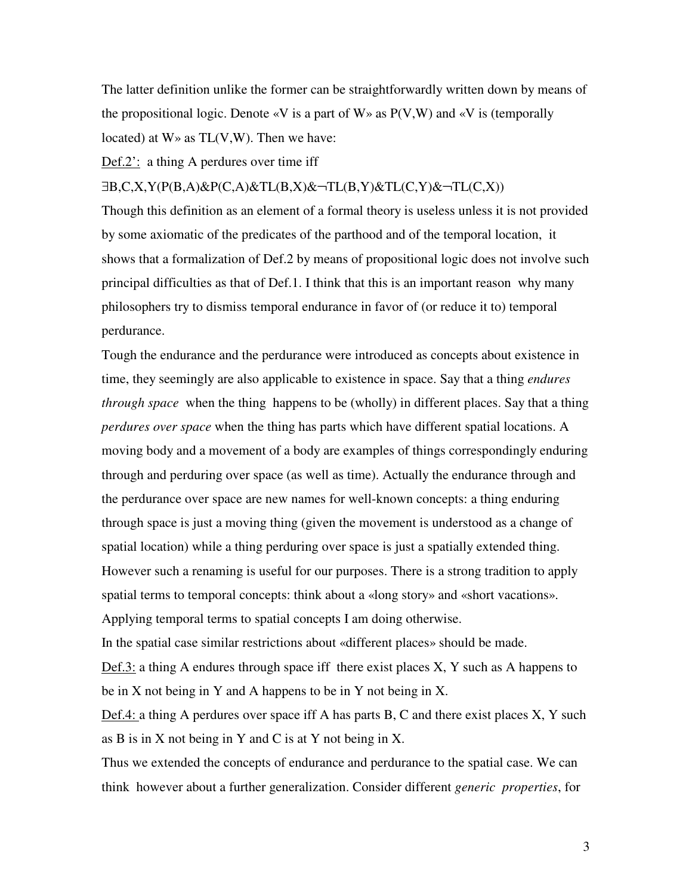The latter definition unlike the former can be straightforwardly written down by means of the propositional logic. Denote  $\langle V \rangle$  is a part of W  $\rangle$  as P(V,W) and  $\langle V \rangle$  is (temporally located) at  $W \gg$  as  $TL(V, W)$ . Then we have:

Def.2': a thing A perdures over time iff

∃B,C,X,Y(P(B,A)&P(C,A)&TL(B,X)&¬TL(B,Y)&TL(C,Y)&¬TL(C,X))

Though this definition as an element of a formal theory is useless unless it is not provided by some axiomatic of the predicates of the parthood and of the temporal location, it shows that a formalization of Def.2 by means of propositional logic does not involve such principal difficulties as that of Def.1. I think that this is an important reason why many philosophers try to dismiss temporal endurance in favor of (or reduce it to) temporal perdurance.

Tough the endurance and the perdurance were introduced as concepts about existence in time, they seemingly are also applicable to existence in space. Say that a thing *endures through space* when the thing happens to be (wholly) in different places. Say that a thing *perdures over space* when the thing has parts which have different spatial locations. A moving body and a movement of a body are examples of things correspondingly enduring through and perduring over space (as well as time). Actually the endurance through and the perdurance over space are new names for well-known concepts: a thing enduring through space is just a moving thing (given the movement is understood as a change of spatial location) while a thing perduring over space is just a spatially extended thing. However such a renaming is useful for our purposes. There is a strong tradition to apply spatial terms to temporal concepts: think about a «long story» and «short vacations». Applying temporal terms to spatial concepts I am doing otherwise. In the spatial case similar restrictions about «different places» should be made.

 $Def.3:$  a thing A endures through space iff there exist places X, Y such as A happens to be in X not being in Y and A happens to be in Y not being in X.

Def.4: a thing A perdures over space iff A has parts B, C and there exist places X, Y such as B is in X not being in Y and C is at Y not being in X.

Thus we extended the concepts of endurance and perdurance to the spatial case. We can think however about a further generalization. Consider different *generic properties*, for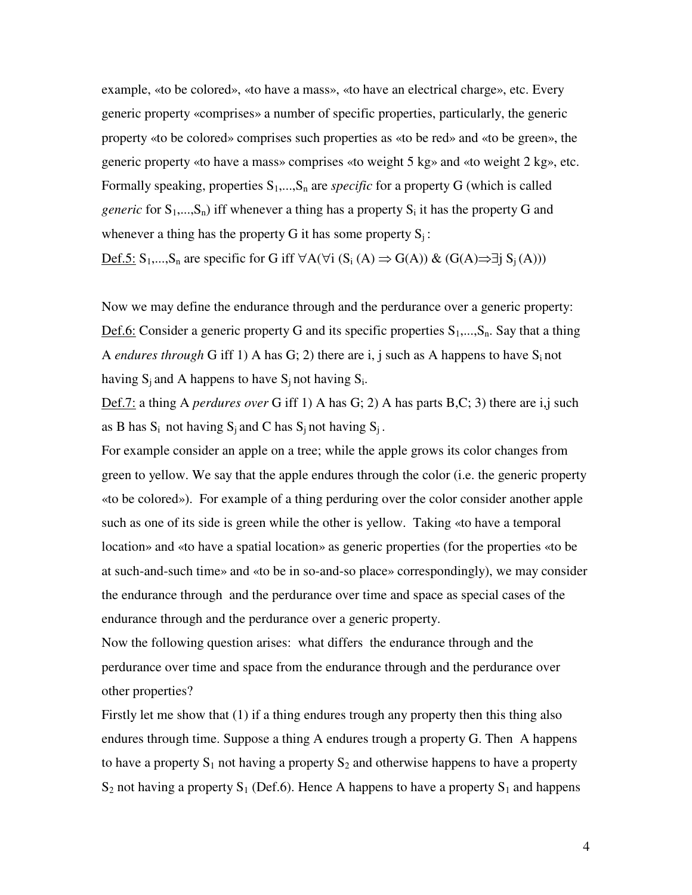example, «to be colored», «to have a mass», «to have an electrical charge», etc. Every generic property «comprises» a number of specific properties, particularly, the generic property «to be colored» comprises such properties as «to be red» and «to be green», the generic property «to have a mass» comprises «to weight 5 kg» and «to weight 2 kg», etc. Formally speaking, properties  $S_1$ ,..., $S_n$  are *specific* for a property G (which is called *generic* for  $S_1$ ,..., $S_n$ ) iff whenever a thing has a property  $S_i$  it has the property G and whenever a thing has the property G it has some property  $S_i$ :

Def.5:  $S_1$ ,..., $S_n$  are specific for G iff ∀A(∀i (S<sub>i</sub> (A)  $\Rightarrow$  G(A)) & (G(A) $\Rightarrow$  ∃j S<sub>j</sub>(A)))

Now we may define the endurance through and the perdurance over a generic property: Def.6: Consider a generic property G and its specific properties  $S_1, ..., S_n$ . Say that a thing A *endures through* G iff 1) A has G; 2) there are i, j such as A happens to have  $S_i$  not having  $S_j$  and A happens to have  $S_j$  not having  $S_i$ .

Def.7: a thing A *perdures over* G iff 1) A has G; 2) A has parts B,C; 3) there are i,j such as B has  $S_i$  not having  $S_i$  and C has  $S_i$  not having  $S_i$ .

For example consider an apple on a tree; while the apple grows its color changes from green to yellow. We say that the apple endures through the color (i.e. the generic property «to be colored»). For example of a thing perduring over the color consider another apple such as one of its side is green while the other is yellow. Taking «to have a temporal location» and «to have a spatial location» as generic properties (for the properties «to be at such-and-such time» and «to be in so-and-so place» correspondingly), we may consider the endurance through and the perdurance over time and space as special cases of the endurance through and the perdurance over a generic property.

Now the following question arises: what differs the endurance through and the perdurance over time and space from the endurance through and the perdurance over other properties?

Firstly let me show that (1) if a thing endures trough any property then this thing also endures through time. Suppose a thing A endures trough a property G. Then A happens to have a property  $S_1$  not having a property  $S_2$  and otherwise happens to have a property  $S_2$  not having a property  $S_1$  (Def.6). Hence A happens to have a property  $S_1$  and happens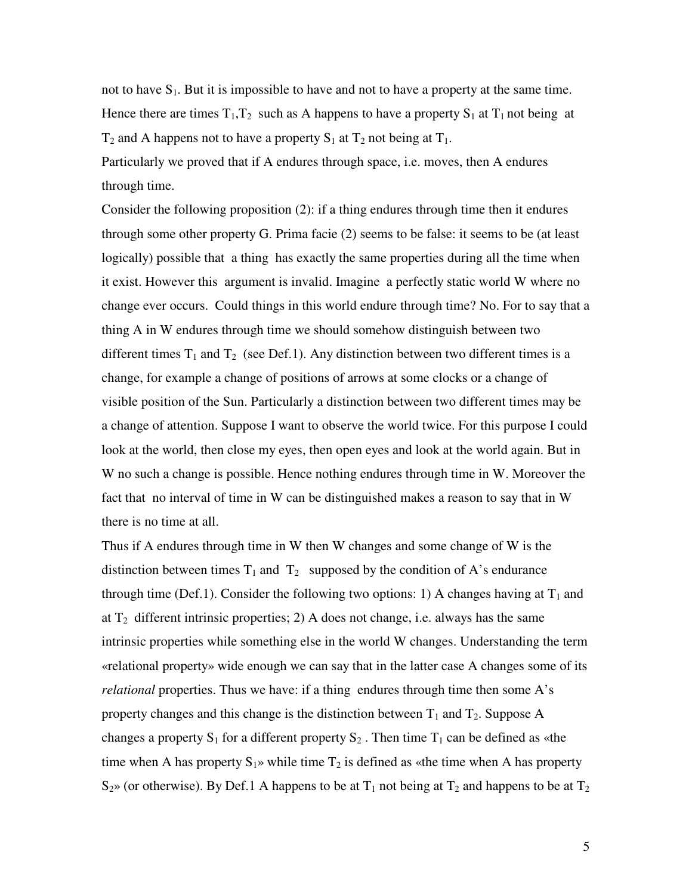not to have  $S_1$ . But it is impossible to have and not to have a property at the same time. Hence there are times  $T_1, T_2$  such as A happens to have a property  $S_1$  at  $T_1$  not being at  $T_2$  and A happens not to have a property  $S_1$  at  $T_2$  not being at  $T_1$ .

Particularly we proved that if A endures through space, i.e. moves, then A endures through time.

Consider the following proposition (2): if a thing endures through time then it endures through some other property G. Prima facie (2) seems to be false: it seems to be (at least logically) possible that a thing has exactly the same properties during all the time when it exist. However this argument is invalid. Imagine a perfectly static world W where no change ever occurs. Could things in this world endure through time? No. For to say that a thing A in W endures through time we should somehow distinguish between two different times  $T_1$  and  $T_2$  (see Def.1). Any distinction between two different times is a change, for example a change of positions of arrows at some clocks or a change of visible position of the Sun. Particularly a distinction between two different times may be a change of attention. Suppose I want to observe the world twice. For this purpose I could look at the world, then close my eyes, then open eyes and look at the world again. But in W no such a change is possible. Hence nothing endures through time in W. Moreover the fact that no interval of time in W can be distinguished makes a reason to say that in W there is no time at all.

Thus if A endures through time in W then W changes and some change of W is the distinction between times  $T_1$  and  $T_2$  supposed by the condition of A's endurance through time (Def.1). Consider the following two options: 1) A changes having at  $T_1$  and at  $T_2$  different intrinsic properties; 2) A does not change, i.e. always has the same intrinsic properties while something else in the world W changes. Understanding the term «relational property» wide enough we can say that in the latter case A changes some of its *relational* properties. Thus we have: if a thing endures through time then some A's property changes and this change is the distinction between  $T_1$  and  $T_2$ . Suppose A changes a property  $S_1$  for a different property  $S_2$ . Then time  $T_1$  can be defined as «the time when A has property  $S_1$ » while time  $T_2$  is defined as «the time when A has property  $S<sub>2</sub>$ » (or otherwise). By Def.1 A happens to be at T<sub>1</sub> not being at T<sub>2</sub> and happens to be at T<sub>2</sub>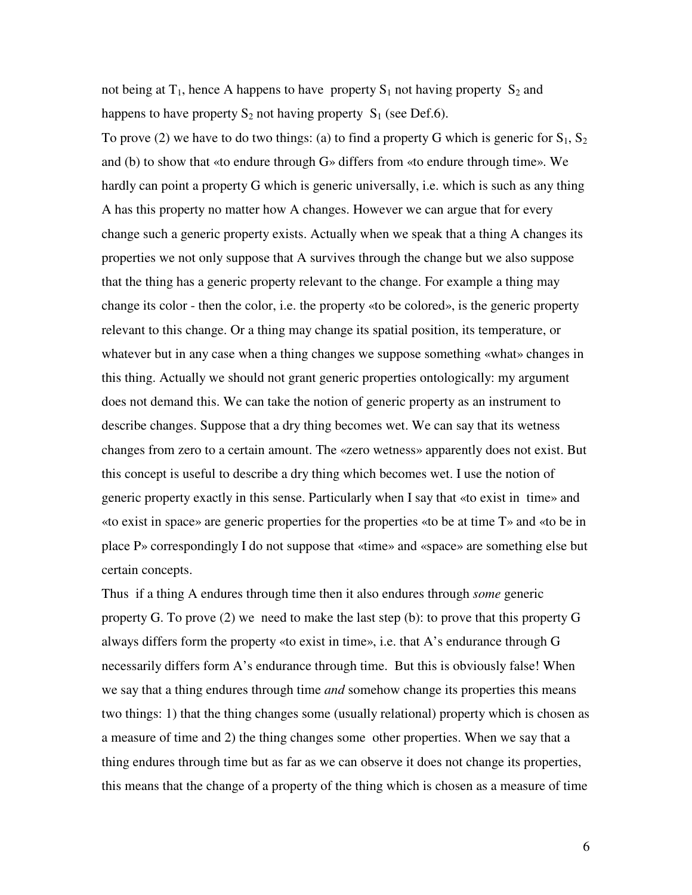not being at  $T_1$ , hence A happens to have property  $S_1$  not having property  $S_2$  and happens to have property  $S_2$  not having property  $S_1$  (see Def.6).

To prove (2) we have to do two things: (a) to find a property G which is generic for  $S_1$ ,  $S_2$ and (b) to show that «to endure through G» differs from «to endure through time». We hardly can point a property G which is generic universally, i.e. which is such as any thing A has this property no matter how A changes. However we can argue that for every change such a generic property exists. Actually when we speak that a thing A changes its properties we not only suppose that A survives through the change but we also suppose that the thing has a generic property relevant to the change. For example a thing may change its color - then the color, i.e. the property «to be colored», is the generic property relevant to this change. Or a thing may change its spatial position, its temperature, or whatever but in any case when a thing changes we suppose something «what» changes in this thing. Actually we should not grant generic properties ontologically: my argument does not demand this. We can take the notion of generic property as an instrument to describe changes. Suppose that a dry thing becomes wet. We can say that its wetness changes from zero to a certain amount. The «zero wetness» apparently does not exist. But this concept is useful to describe a dry thing which becomes wet. I use the notion of generic property exactly in this sense. Particularly when I say that «to exist in time» and «to exist in space» are generic properties for the properties «to be at time T» and «to be in place P» correspondingly I do not suppose that «time» and «space» are something else but certain concepts.

Thus if a thing A endures through time then it also endures through *some* generic property G. To prove (2) we need to make the last step (b): to prove that this property G always differs form the property «to exist in time», i.e. that A's endurance through G necessarily differs form A's endurance through time. But this is obviously false! When we say that a thing endures through time *and* somehow change its properties this means two things: 1) that the thing changes some (usually relational) property which is chosen as a measure of time and 2) the thing changes some other properties. When we say that a thing endures through time but as far as we can observe it does not change its properties, this means that the change of a property of the thing which is chosen as a measure of time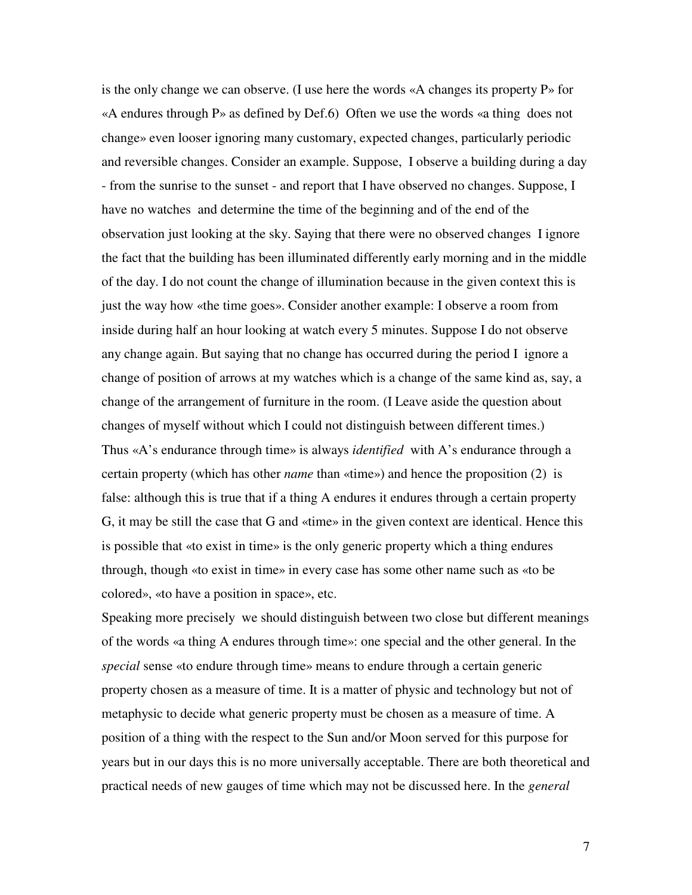is the only change we can observe. (I use here the words «A changes its property P» for «A endures through P» as defined by Def.6) Often we use the words «a thing does not change» even looser ignoring many customary, expected changes, particularly periodic and reversible changes. Consider an example. Suppose, I observe a building during a day - from the sunrise to the sunset - and report that I have observed no changes. Suppose, I have no watches and determine the time of the beginning and of the end of the observation just looking at the sky. Saying that there were no observed changes I ignore the fact that the building has been illuminated differently early morning and in the middle of the day. I do not count the change of illumination because in the given context this is just the way how «the time goes». Consider another example: I observe a room from inside during half an hour looking at watch every 5 minutes. Suppose I do not observe any change again. But saying that no change has occurred during the period I ignore a change of position of arrows at my watches which is a change of the same kind as, say, a change of the arrangement of furniture in the room. (I Leave aside the question about changes of myself without which I could not distinguish between different times.) Thus «A's endurance through time» is always *identified* with A's endurance through a certain property (which has other *name* than «time») and hence the proposition (2) is false: although this is true that if a thing A endures it endures through a certain property G, it may be still the case that G and «time» in the given context are identical. Hence this is possible that «to exist in time» is the only generic property which a thing endures through, though «to exist in time» in every case has some other name such as «to be colored», «to have a position in space», etc.

Speaking more precisely we should distinguish between two close but different meanings of the words «a thing A endures through time»: one special and the other general. In the *special* sense «to endure through time» means to endure through a certain generic property chosen as a measure of time. It is a matter of physic and technology but not of metaphysic to decide what generic property must be chosen as a measure of time. A position of a thing with the respect to the Sun and/or Moon served for this purpose for years but in our days this is no more universally acceptable. There are both theoretical and practical needs of new gauges of time which may not be discussed here. In the *general*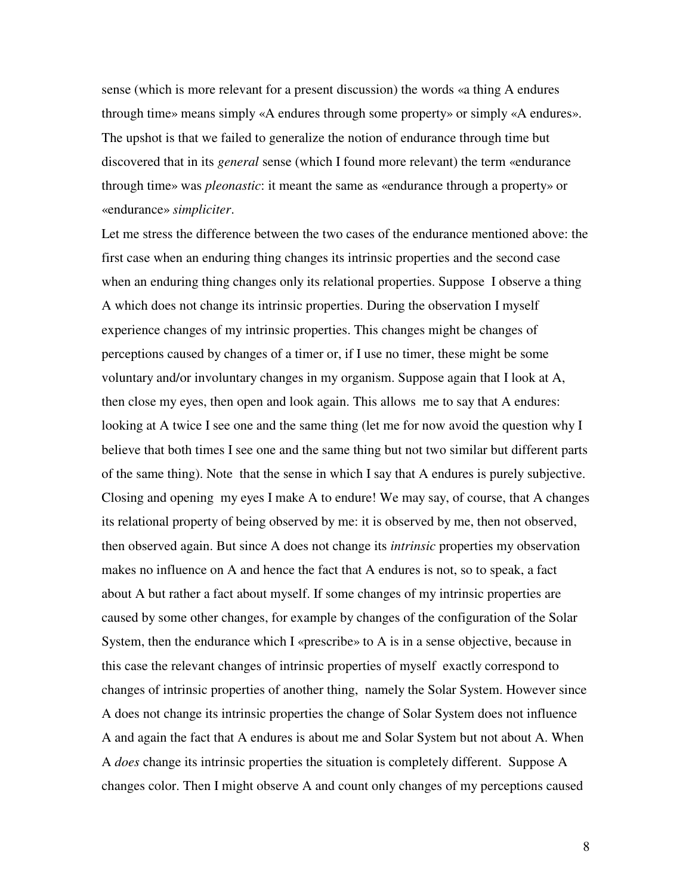sense (which is more relevant for a present discussion) the words «a thing A endures through time» means simply «A endures through some property» or simply «A endures». The upshot is that we failed to generalize the notion of endurance through time but discovered that in its *general* sense (which I found more relevant) the term «endurance through time» was *pleonastic*: it meant the same as «endurance through a property» or «endurance» *simpliciter*.

Let me stress the difference between the two cases of the endurance mentioned above: the first case when an enduring thing changes its intrinsic properties and the second case when an enduring thing changes only its relational properties. Suppose I observe a thing A which does not change its intrinsic properties. During the observation I myself experience changes of my intrinsic properties. This changes might be changes of perceptions caused by changes of a timer or, if I use no timer, these might be some voluntary and/or involuntary changes in my organism. Suppose again that I look at A, then close my eyes, then open and look again. This allows me to say that A endures: looking at A twice I see one and the same thing (let me for now avoid the question why I believe that both times I see one and the same thing but not two similar but different parts of the same thing). Note that the sense in which I say that A endures is purely subjective. Closing and opening my eyes I make A to endure! We may say, of course, that A changes its relational property of being observed by me: it is observed by me, then not observed, then observed again. But since A does not change its *intrinsic* properties my observation makes no influence on A and hence the fact that A endures is not, so to speak, a fact about A but rather a fact about myself. If some changes of my intrinsic properties are caused by some other changes, for example by changes of the configuration of the Solar System, then the endurance which I «prescribe» to A is in a sense objective, because in this case the relevant changes of intrinsic properties of myself exactly correspond to changes of intrinsic properties of another thing, namely the Solar System. However since A does not change its intrinsic properties the change of Solar System does not influence A and again the fact that A endures is about me and Solar System but not about A. When A *does* change its intrinsic properties the situation is completely different. Suppose A changes color. Then I might observe A and count only changes of my perceptions caused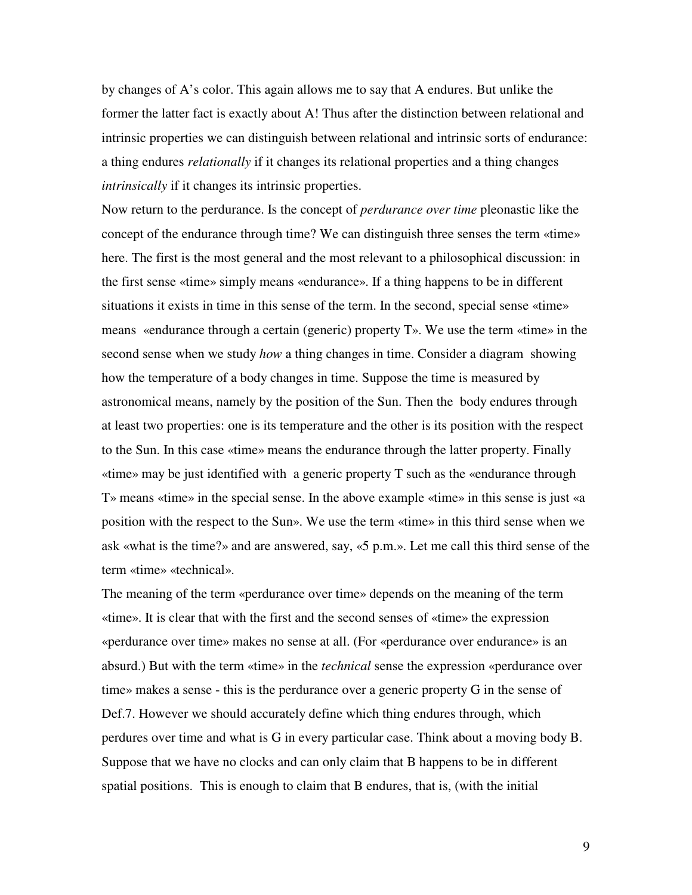by changes of A's color. This again allows me to say that A endures. But unlike the former the latter fact is exactly about A! Thus after the distinction between relational and intrinsic properties we can distinguish between relational and intrinsic sorts of endurance: a thing endures *relationally* if it changes its relational properties and a thing changes *intrinsically* if it changes its intrinsic properties.

Now return to the perdurance. Is the concept of *perdurance over time* pleonastic like the concept of the endurance through time? We can distinguish three senses the term «time» here. The first is the most general and the most relevant to a philosophical discussion: in the first sense «time» simply means «endurance». If a thing happens to be in different situations it exists in time in this sense of the term. In the second, special sense «time» means «endurance through a certain (generic) property T». We use the term «time» in the second sense when we study *how* a thing changes in time. Consider a diagram showing how the temperature of a body changes in time. Suppose the time is measured by astronomical means, namely by the position of the Sun. Then the body endures through at least two properties: one is its temperature and the other is its position with the respect to the Sun. In this case «time» means the endurance through the latter property. Finally «time» may be just identified with a generic property T such as the «endurance through T» means «time» in the special sense. In the above example «time» in this sense is just «a position with the respect to the Sun». We use the term «time» in this third sense when we ask «what is the time?» and are answered, say, «5 p.m.». Let me call this third sense of the term «time» «technical».

The meaning of the term «perdurance over time» depends on the meaning of the term «time». It is clear that with the first and the second senses of «time» the expression «perdurance over time» makes no sense at all. (For «perdurance over endurance» is an absurd.) But with the term «time» in the *technical* sense the expression «perdurance over time» makes a sense - this is the perdurance over a generic property G in the sense of Def.7. However we should accurately define which thing endures through, which perdures over time and what is G in every particular case. Think about a moving body B. Suppose that we have no clocks and can only claim that B happens to be in different spatial positions. This is enough to claim that B endures, that is, (with the initial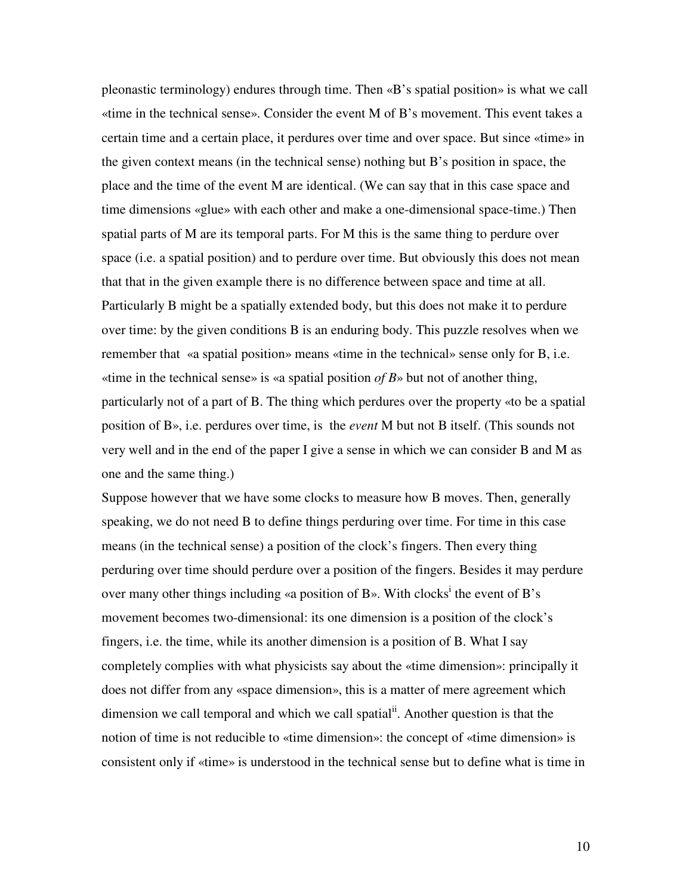pleonastic terminology) endures through time. Then «B's spatial position» is what we call «time in the technical sense». Consider the event M of B's movement. This event takes a certain time and a certain place, it perdures over time and over space. But since «time» in the given context means (in the technical sense) nothing but B's position in space, the place and the time of the event M are identical. (We can say that in this case space and time dimensions «glue» with each other and make a one-dimensional space-time.) Then spatial parts of M are its temporal parts. For M this is the same thing to perdure over space (i.e. a spatial position) and to perdure over time. But obviously this does not mean that that in the given example there is no difference between space and time at all. Particularly B might be a spatially extended body, but this does not make it to perdure over time: by the given conditions B is an enduring body. This puzzle resolves when we remember that «a spatial position» means «time in the technical» sense only for B, i.e. «time in the technical sense» is «a spatial position *of B*» but not of another thing, particularly not of a part of B. The thing which perdures over the property «to be a spatial position of B», i.e. perdures over time, is the *event* M but not B itself. (This sounds not very well and in the end of the paper I give a sense in which we can consider B and M as one and the same thing.)

Suppose however that we have some clocks to measure how B moves. Then, generally speaking, we do not need B to define things perduring over time. For time in this case means (in the technical sense) a position of the clock's fingers. Then every thing perduring over time should perdure over a position of the fingers. Besides it may perdure over many other things including «a position of B». With clocks<sup>i</sup> the event of B's movement becomes two-dimensional: its one dimension is a position of the clock's fingers, i.e. the time, while its another dimension is a position of B. What I say completely complies with what physicists say about the «time dimension»: principally it does not differ from any «space dimension», this is a matter of mere agreement which dimension we call temporal and which we call spatial<sup>ii</sup>. Another question is that the notion of time is not reducible to «time dimension»: the concept of «time dimension» is consistent only if «time» is understood in the technical sense but to define what is time in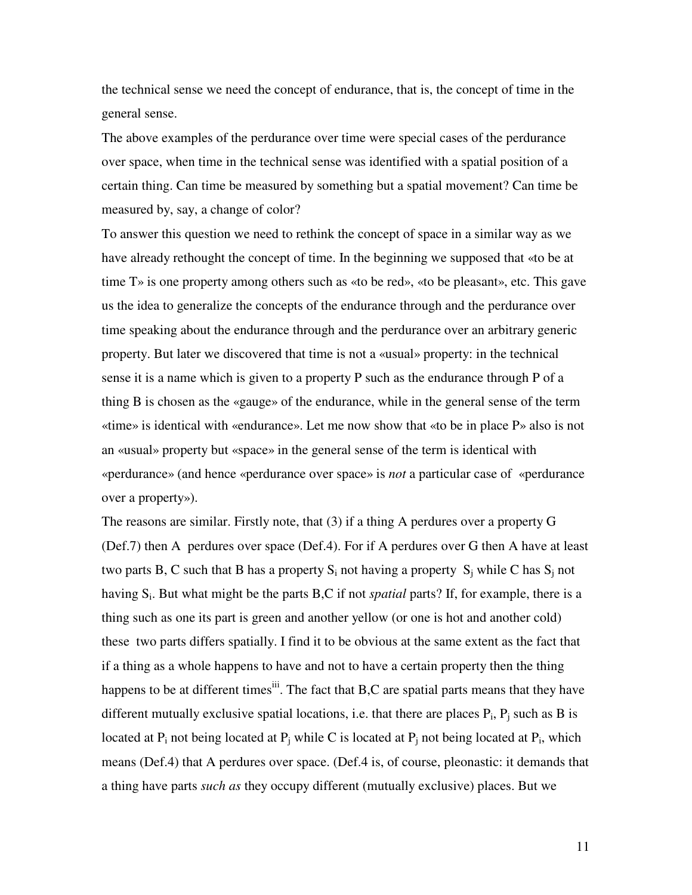the technical sense we need the concept of endurance, that is, the concept of time in the general sense.

The above examples of the perdurance over time were special cases of the perdurance over space, when time in the technical sense was identified with a spatial position of a certain thing. Can time be measured by something but a spatial movement? Can time be measured by, say, a change of color?

To answer this question we need to rethink the concept of space in a similar way as we have already rethought the concept of time. In the beginning we supposed that «to be at time T» is one property among others such as «to be red», «to be pleasant», etc. This gave us the idea to generalize the concepts of the endurance through and the perdurance over time speaking about the endurance through and the perdurance over an arbitrary generic property. But later we discovered that time is not a «usual» property: in the technical sense it is a name which is given to a property P such as the endurance through P of a thing B is chosen as the «gauge» of the endurance, while in the general sense of the term «time» is identical with «endurance». Let me now show that «to be in place P» also is not an «usual» property but «space» in the general sense of the term is identical with «perdurance» (and hence «perdurance over space» is *not* a particular case of «perdurance over a property»).

The reasons are similar. Firstly note, that (3) if a thing A perdures over a property G (Def.7) then A perdures over space (Def.4). For if A perdures over G then A have at least two parts B, C such that B has a property  $S_i$  not having a property  $S_j$  while C has  $S_j$  not having S<sub>i</sub>. But what might be the parts B,C if not *spatial* parts? If, for example, there is a thing such as one its part is green and another yellow (or one is hot and another cold) these two parts differs spatially. I find it to be obvious at the same extent as the fact that if a thing as a whole happens to have and not to have a certain property then the thing happens to be at different times<sup>iii</sup>. The fact that B,C are spatial parts means that they have different mutually exclusive spatial locations, i.e. that there are places  $P_i$ ,  $P_j$  such as B is located at  $P_i$  not being located at  $P_j$  while C is located at  $P_j$  not being located at  $P_i$ , which means (Def.4) that A perdures over space. (Def.4 is, of course, pleonastic: it demands that a thing have parts *such as* they occupy different (mutually exclusive) places. But we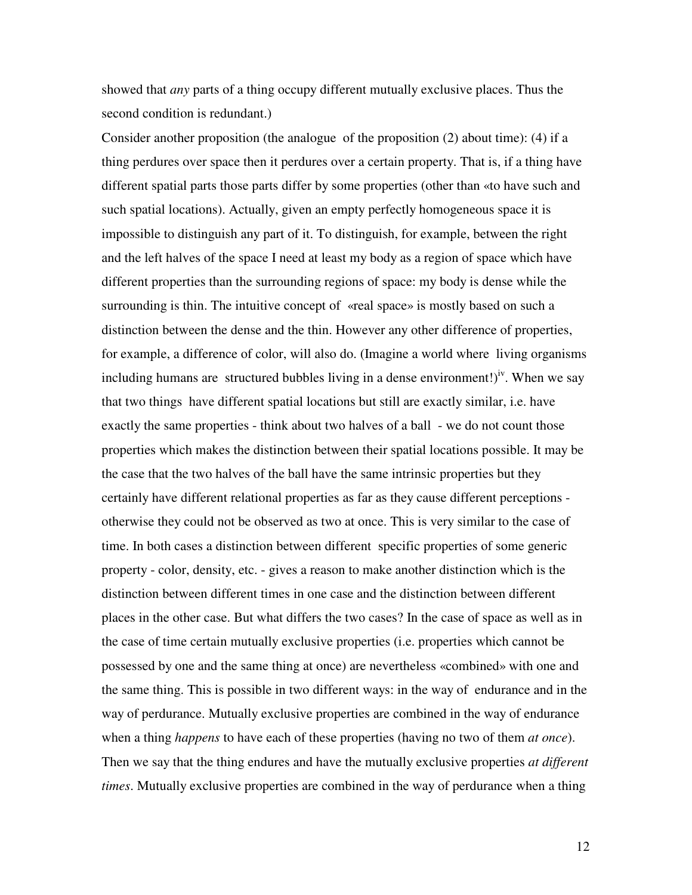showed that *any* parts of a thing occupy different mutually exclusive places. Thus the second condition is redundant.)

Consider another proposition (the analogue of the proposition  $(2)$  about time): (4) if a thing perdures over space then it perdures over a certain property. That is, if a thing have different spatial parts those parts differ by some properties (other than «to have such and such spatial locations). Actually, given an empty perfectly homogeneous space it is impossible to distinguish any part of it. To distinguish, for example, between the right and the left halves of the space I need at least my body as a region of space which have different properties than the surrounding regions of space: my body is dense while the surrounding is thin. The intuitive concept of «real space» is mostly based on such a distinction between the dense and the thin. However any other difference of properties, for example, a difference of color, will also do. (Imagine a world where living organisms including humans are structured bubbles living in a dense environment!)<sup>iv</sup>. When we say that two things have different spatial locations but still are exactly similar, i.e. have exactly the same properties - think about two halves of a ball - we do not count those properties which makes the distinction between their spatial locations possible. It may be the case that the two halves of the ball have the same intrinsic properties but they certainly have different relational properties as far as they cause different perceptions otherwise they could not be observed as two at once. This is very similar to the case of time. In both cases a distinction between different specific properties of some generic property - color, density, etc. - gives a reason to make another distinction which is the distinction between different times in one case and the distinction between different places in the other case. But what differs the two cases? In the case of space as well as in the case of time certain mutually exclusive properties (i.e. properties which cannot be possessed by one and the same thing at once) are nevertheless «combined» with one and the same thing. This is possible in two different ways: in the way of endurance and in the way of perdurance. Mutually exclusive properties are combined in the way of endurance when a thing *happens* to have each of these properties (having no two of them *at once*). Then we say that the thing endures and have the mutually exclusive properties *at different times*. Mutually exclusive properties are combined in the way of perdurance when a thing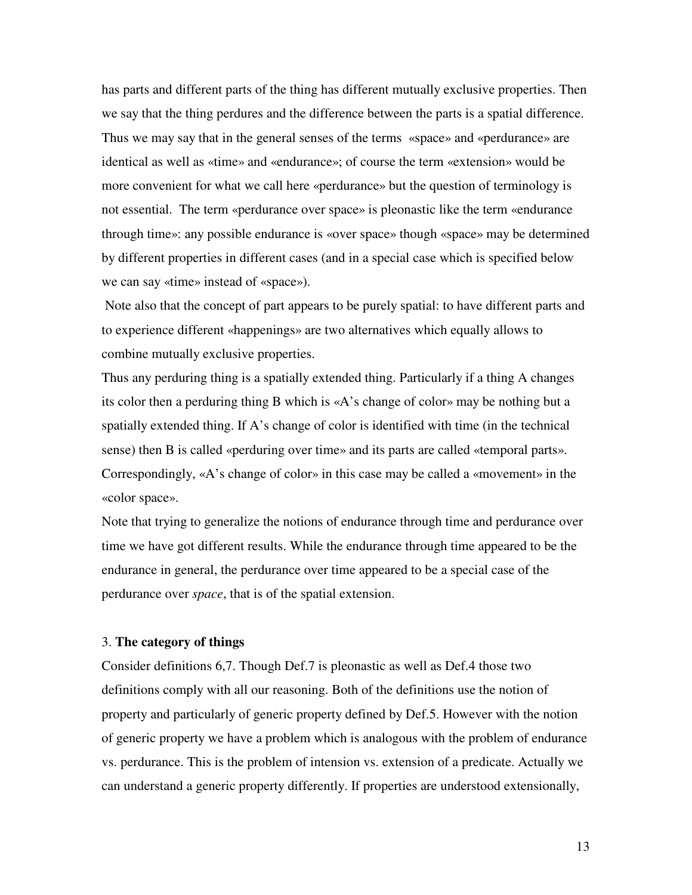has parts and different parts of the thing has different mutually exclusive properties. Then we say that the thing perdures and the difference between the parts is a spatial difference. Thus we may say that in the general senses of the terms «space» and «perdurance» are identical as well as «time» and «endurance»; of course the term «extension» would be more convenient for what we call here «perdurance» but the question of terminology is not essential. The term «perdurance over space» is pleonastic like the term «endurance through time»: any possible endurance is «over space» though «space» may be determined by different properties in different cases (and in a special case which is specified below we can say «time» instead of «space»).

 Note also that the concept of part appears to be purely spatial: to have different parts and to experience different «happenings» are two alternatives which equally allows to combine mutually exclusive properties.

Thus any perduring thing is a spatially extended thing. Particularly if a thing A changes its color then a perduring thing B which is «A's change of color» may be nothing but a spatially extended thing. If A's change of color is identified with time (in the technical sense) then B is called «perduring over time» and its parts are called «temporal parts». Correspondingly, «A's change of color» in this case may be called a «movement» in the «color space».

Note that trying to generalize the notions of endurance through time and perdurance over time we have got different results. While the endurance through time appeared to be the endurance in general, the perdurance over time appeared to be a special case of the perdurance over *space*, that is of the spatial extension.

#### 3. **The category of things**

Consider definitions 6,7. Though Def.7 is pleonastic as well as Def.4 those two definitions comply with all our reasoning. Both of the definitions use the notion of property and particularly of generic property defined by Def.5. However with the notion of generic property we have a problem which is analogous with the problem of endurance vs. perdurance. This is the problem of intension vs. extension of a predicate. Actually we can understand a generic property differently. If properties are understood extensionally,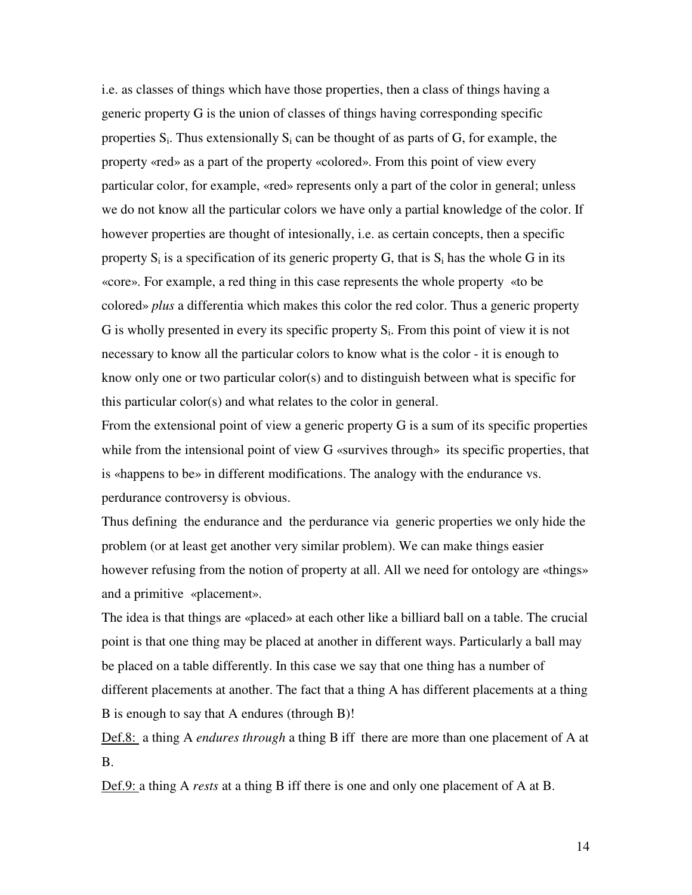i.e. as classes of things which have those properties, then a class of things having a generic property G is the union of classes of things having corresponding specific properties  $S_i$ . Thus extensionally  $S_i$  can be thought of as parts of G, for example, the property «red» as a part of the property «colored». From this point of view every particular color, for example, «red» represents only a part of the color in general; unless we do not know all the particular colors we have only a partial knowledge of the color. If however properties are thought of intesionally, i.e. as certain concepts, then a specific property  $S_i$  is a specification of its generic property G, that is  $S_i$  has the whole G in its «core». For example, a red thing in this case represents the whole property «to be colored» *plus* a differentia which makes this color the red color. Thus a generic property G is wholly presented in every its specific property  $S_i$ . From this point of view it is not necessary to know all the particular colors to know what is the color - it is enough to know only one or two particular color(s) and to distinguish between what is specific for this particular color(s) and what relates to the color in general.

From the extensional point of view a generic property G is a sum of its specific properties while from the intensional point of view G «survives through» its specific properties, that is «happens to be» in different modifications. The analogy with the endurance vs. perdurance controversy is obvious.

Thus defining the endurance and the perdurance via generic properties we only hide the problem (or at least get another very similar problem). We can make things easier however refusing from the notion of property at all. All we need for ontology are «things» and a primitive «placement».

The idea is that things are «placed» at each other like a billiard ball on a table. The crucial point is that one thing may be placed at another in different ways. Particularly a ball may be placed on a table differently. In this case we say that one thing has a number of different placements at another. The fact that a thing A has different placements at a thing B is enough to say that A endures (through B)!

Def.8: a thing A *endures through* a thing B iff there are more than one placement of A at B.

Def.9: a thing A *rests* at a thing B iff there is one and only one placement of A at B.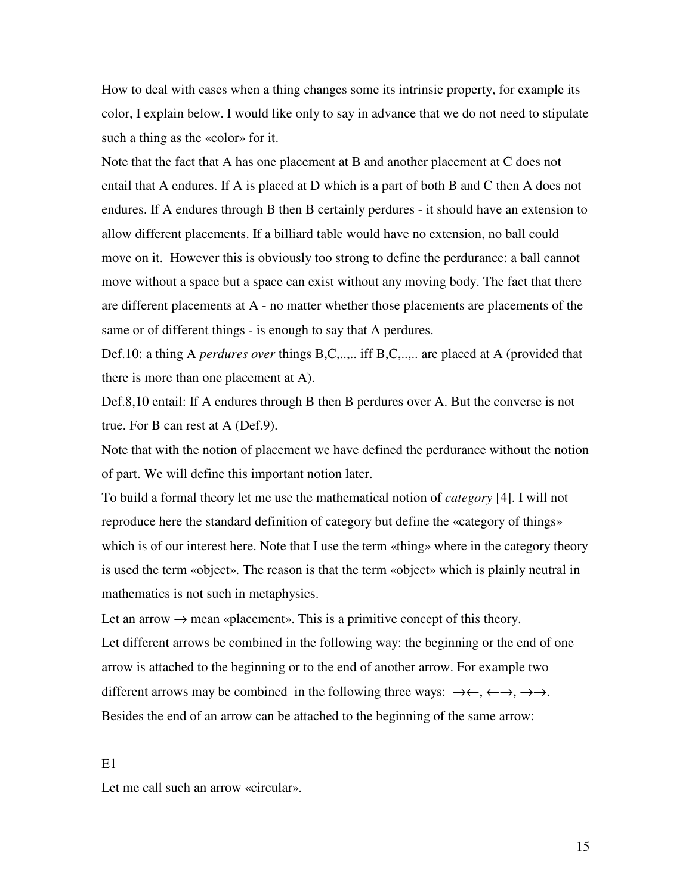How to deal with cases when a thing changes some its intrinsic property, for example its color, I explain below. I would like only to say in advance that we do not need to stipulate such a thing as the «color» for it.

Note that the fact that A has one placement at B and another placement at C does not entail that A endures. If A is placed at D which is a part of both B and C then A does not endures. If A endures through B then B certainly perdures - it should have an extension to allow different placements. If a billiard table would have no extension, no ball could move on it. However this is obviously too strong to define the perdurance: a ball cannot move without a space but a space can exist without any moving body. The fact that there are different placements at A - no matter whether those placements are placements of the same or of different things - is enough to say that A perdures.

Def.10: a thing A *perdures over* things B,C,..,.. iff B,C,..,.. are placed at A (provided that there is more than one placement at A).

Def.8,10 entail: If A endures through B then B perdures over A. But the converse is not true. For B can rest at A (Def.9).

Note that with the notion of placement we have defined the perdurance without the notion of part. We will define this important notion later.

To build a formal theory let me use the mathematical notion of *category* [4]. I will not reproduce here the standard definition of category but define the «category of things» which is of our interest here. Note that I use the term «thing» where in the category theory is used the term «object». The reason is that the term «object» which is plainly neutral in mathematics is not such in metaphysics.

Let an arrow  $\rightarrow$  mean «placement». This is a primitive concept of this theory. Let different arrows be combined in the following way: the beginning or the end of one arrow is attached to the beginning or to the end of another arrow. For example two different arrows may be combined in the following three ways:  $\rightarrow \leftarrow, \leftarrow \rightarrow, \rightarrow \rightarrow$ . Besides the end of an arrow can be attached to the beginning of the same arrow:

E1

Let me call such an arrow «circular».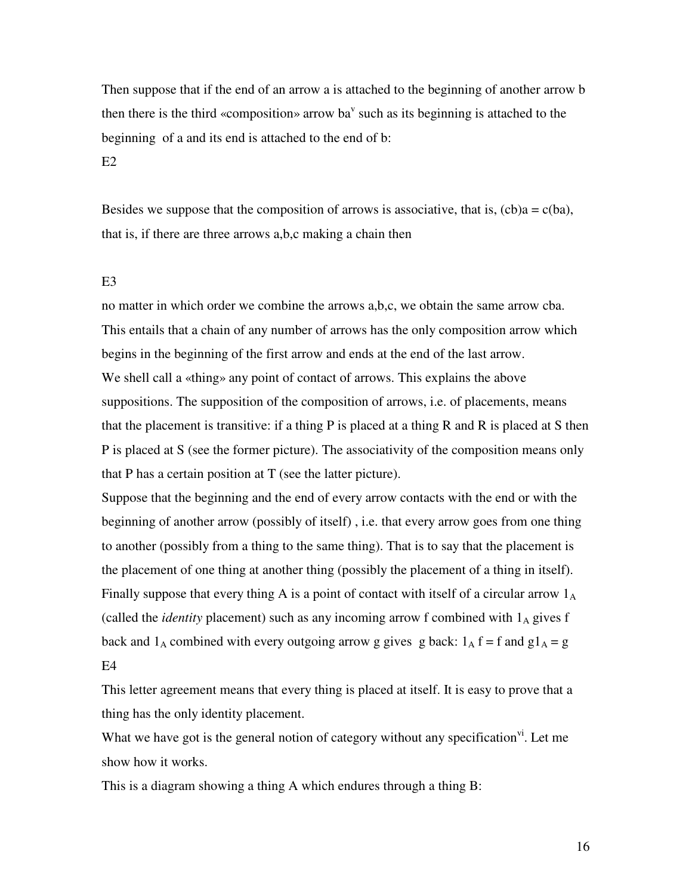Then suppose that if the end of an arrow a is attached to the beginning of another arrow b then there is the third «composition» arrow ba<sup> $v$ </sup> such as its beginning is attached to the beginning of a and its end is attached to the end of b:

## $E2$

Besides we suppose that the composition of arrows is associative, that is,  $(cb)a = c(ba)$ , that is, if there are three arrows a,b,c making a chain then

### E3

no matter in which order we combine the arrows a,b,c, we obtain the same arrow cba. This entails that a chain of any number of arrows has the only composition arrow which begins in the beginning of the first arrow and ends at the end of the last arrow. We shell call a «thing» any point of contact of arrows. This explains the above suppositions. The supposition of the composition of arrows, i.e. of placements, means that the placement is transitive: if a thing  $P$  is placed at a thing  $R$  and  $R$  is placed at  $S$  then P is placed at S (see the former picture). The associativity of the composition means only that P has a certain position at T (see the latter picture).

Suppose that the beginning and the end of every arrow contacts with the end or with the beginning of another arrow (possibly of itself) , i.e. that every arrow goes from one thing to another (possibly from a thing to the same thing). That is to say that the placement is the placement of one thing at another thing (possibly the placement of a thing in itself). Finally suppose that every thing A is a point of contact with itself of a circular arrow  $1_A$ (called the *identity* placement) such as any incoming arrow f combined with  $1_A$  gives f back and  $1_A$  combined with every outgoing arrow g gives g back:  $1_A$  f = f and g $1_A$  = g E4

This letter agreement means that every thing is placed at itself. It is easy to prove that a thing has the only identity placement.

What we have got is the general notion of category without any specification<sup>vi</sup>. Let me show how it works.

This is a diagram showing a thing A which endures through a thing B: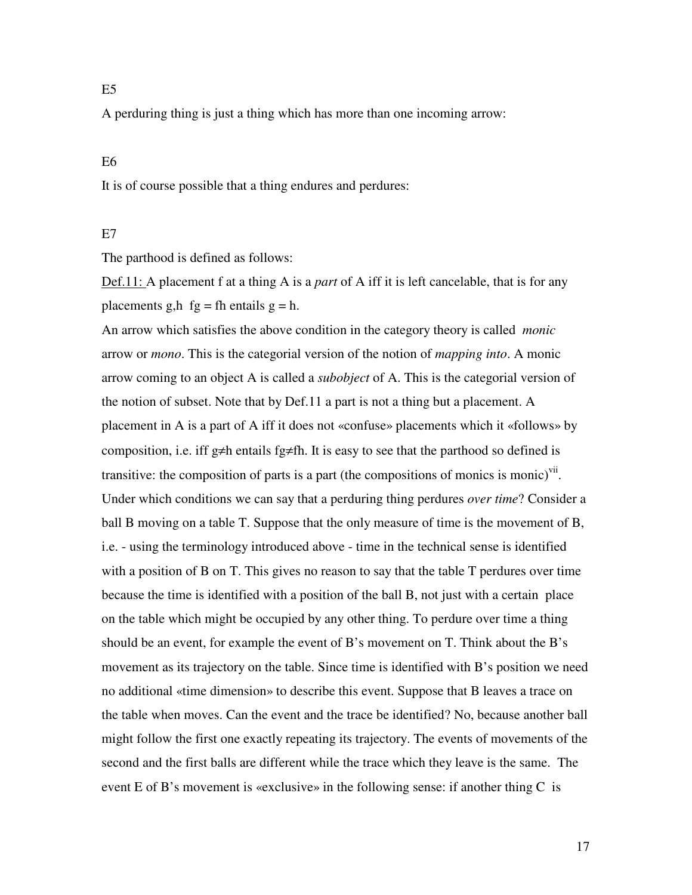## $E<sub>5</sub>$

A perduring thing is just a thing which has more than one incoming arrow:

## E6

It is of course possible that a thing endures and perdures:

#### E<sub>7</sub>

The parthood is defined as follows:

Def.11: A placement f at a thing A is a *part* of A iff it is left cancelable, that is for any placements g,h  $fg = fh$  entails  $g = h$ .

An arrow which satisfies the above condition in the category theory is called *monic* arrow or *mono*. This is the categorial version of the notion of *mapping into*. A monic arrow coming to an object A is called a *subobject* of A. This is the categorial version of the notion of subset. Note that by Def.11 a part is not a thing but a placement. A placement in A is a part of A iff it does not «confuse» placements which it «follows» by composition, i.e. iff g≠h entails fg≠fh. It is easy to see that the parthood so defined is transitive: the composition of parts is a part (the compositions of monics is monic)<sup>vii</sup>. Under which conditions we can say that a perduring thing perdures *over time*? Consider a ball B moving on a table T. Suppose that the only measure of time is the movement of B, i.e. - using the terminology introduced above - time in the technical sense is identified with a position of B on T. This gives no reason to say that the table T perdures over time because the time is identified with a position of the ball B, not just with a certain place on the table which might be occupied by any other thing. To perdure over time a thing should be an event, for example the event of B's movement on T. Think about the B's movement as its trajectory on the table. Since time is identified with B's position we need no additional «time dimension» to describe this event. Suppose that B leaves a trace on the table when moves. Can the event and the trace be identified? No, because another ball might follow the first one exactly repeating its trajectory. The events of movements of the second and the first balls are different while the trace which they leave is the same. The event E of B's movement is «exclusive» in the following sense: if another thing C is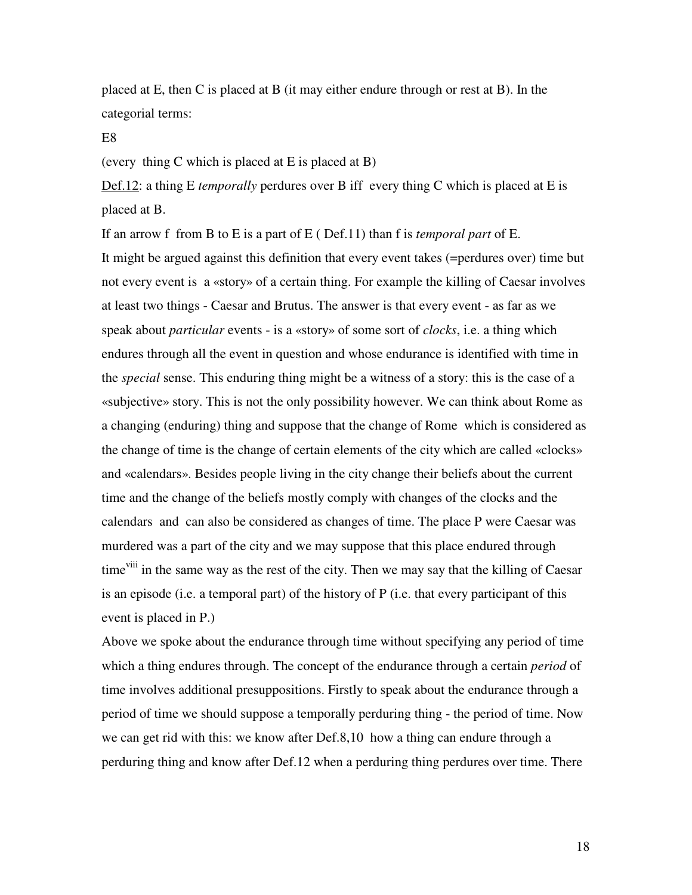placed at E, then C is placed at B (it may either endure through or rest at B). In the categorial terms:

#### E8

(every thing C which is placed at E is placed at B)

Def.12: a thing E *temporally* perdures over B iff every thing C which is placed at E is placed at B.

If an arrow f from B to E is a part of E ( Def.11) than f is *temporal part* of E. It might be argued against this definition that every event takes (=perdures over) time but not every event is a «story» of a certain thing. For example the killing of Caesar involves at least two things - Caesar and Brutus. The answer is that every event - as far as we speak about *particular* events - is a «story» of some sort of *clocks*, i.e. a thing which endures through all the event in question and whose endurance is identified with time in the *special* sense. This enduring thing might be a witness of a story: this is the case of a «subjective» story. This is not the only possibility however. We can think about Rome as a changing (enduring) thing and suppose that the change of Rome which is considered as the change of time is the change of certain elements of the city which are called «clocks» and «calendars». Besides people living in the city change their beliefs about the current time and the change of the beliefs mostly comply with changes of the clocks and the calendars and can also be considered as changes of time. The place P were Caesar was murdered was a part of the city and we may suppose that this place endured through time<sup>viii</sup> in the same way as the rest of the city. Then we may say that the killing of Caesar is an episode (i.e. a temporal part) of the history of P (i.e. that every participant of this event is placed in P.)

Above we spoke about the endurance through time without specifying any period of time which a thing endures through. The concept of the endurance through a certain *period* of time involves additional presuppositions. Firstly to speak about the endurance through a period of time we should suppose a temporally perduring thing - the period of time. Now we can get rid with this: we know after Def.8,10 how a thing can endure through a perduring thing and know after Def.12 when a perduring thing perdures over time. There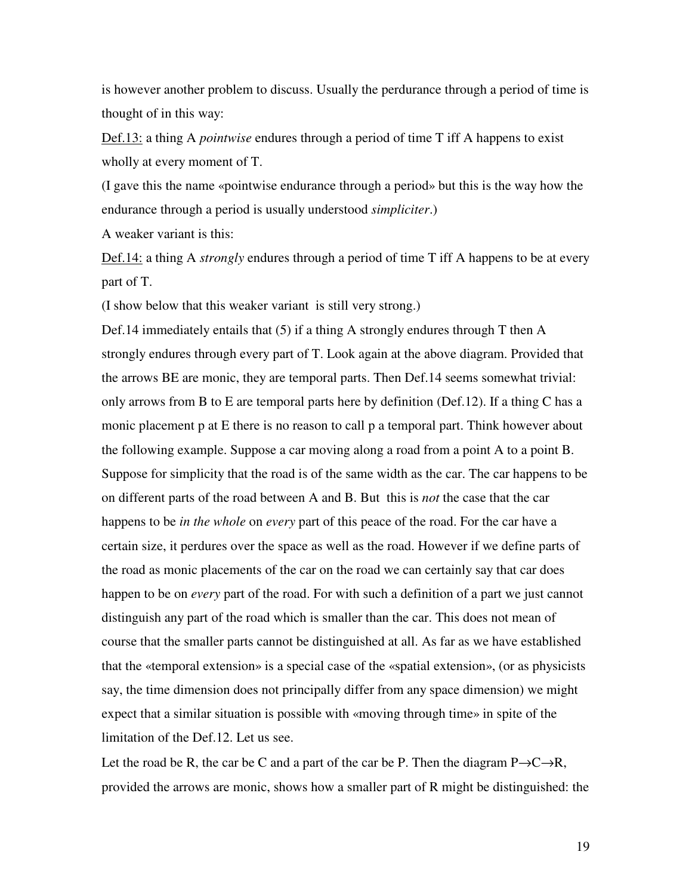is however another problem to discuss. Usually the perdurance through a period of time is thought of in this way:

Def.13: a thing A *pointwise* endures through a period of time T iff A happens to exist wholly at every moment of T.

(I gave this the name «pointwise endurance through a period» but this is the way how the endurance through a period is usually understood *simpliciter*.)

A weaker variant is this:

Def.14: a thing A *strongly* endures through a period of time T iff A happens to be at every part of T.

(I show below that this weaker variant is still very strong.)

Def.14 immediately entails that (5) if a thing A strongly endures through T then A strongly endures through every part of T. Look again at the above diagram. Provided that the arrows BE are monic, they are temporal parts. Then Def.14 seems somewhat trivial: only arrows from B to E are temporal parts here by definition (Def.12). If a thing C has a monic placement p at E there is no reason to call p a temporal part. Think however about the following example. Suppose a car moving along a road from a point A to a point B. Suppose for simplicity that the road is of the same width as the car. The car happens to be on different parts of the road between A and B. But this is *not* the case that the car happens to be *in the whole* on *every* part of this peace of the road. For the car have a certain size, it perdures over the space as well as the road. However if we define parts of the road as monic placements of the car on the road we can certainly say that car does happen to be on *every* part of the road. For with such a definition of a part we just cannot distinguish any part of the road which is smaller than the car. This does not mean of course that the smaller parts cannot be distinguished at all. As far as we have established that the «temporal extension» is a special case of the «spatial extension», (or as physicists say, the time dimension does not principally differ from any space dimension) we might expect that a similar situation is possible with «moving through time» in spite of the limitation of the Def.12. Let us see.

Let the road be R, the car be C and a part of the car be P. Then the diagram  $P \rightarrow C \rightarrow R$ , provided the arrows are monic, shows how a smaller part of R might be distinguished: the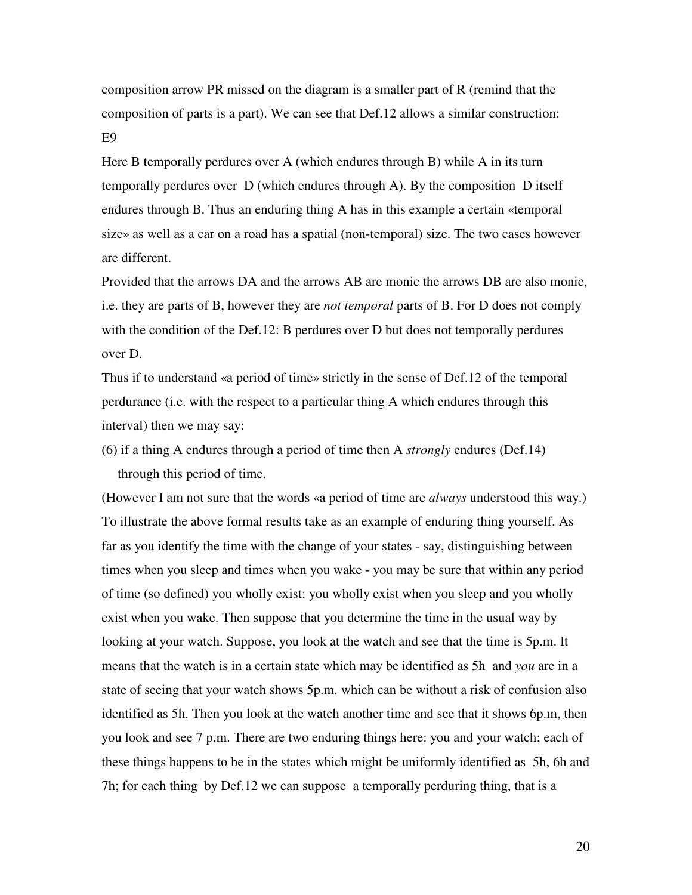composition arrow PR missed on the diagram is a smaller part of R (remind that the composition of parts is a part). We can see that Def.12 allows a similar construction: E9

Here B temporally perdures over A (which endures through B) while A in its turn temporally perdures over D (which endures through A). By the composition D itself endures through B. Thus an enduring thing A has in this example a certain «temporal size» as well as a car on a road has a spatial (non-temporal) size. The two cases however are different.

Provided that the arrows DA and the arrows AB are monic the arrows DB are also monic, i.e. they are parts of B, however they are *not temporal* parts of B. For D does not comply with the condition of the Def.12: B perdures over D but does not temporally perdures over D.

Thus if to understand «a period of time» strictly in the sense of Def.12 of the temporal perdurance (i.e. with the respect to a particular thing A which endures through this interval) then we may say:

(6) if a thing A endures through a period of time then A *strongly* endures (Def.14) through this period of time.

(However I am not sure that the words «a period of time are *always* understood this way.) To illustrate the above formal results take as an example of enduring thing yourself. As far as you identify the time with the change of your states - say, distinguishing between times when you sleep and times when you wake - you may be sure that within any period of time (so defined) you wholly exist: you wholly exist when you sleep and you wholly exist when you wake. Then suppose that you determine the time in the usual way by looking at your watch. Suppose, you look at the watch and see that the time is 5p.m. It means that the watch is in a certain state which may be identified as 5h and *you* are in a state of seeing that your watch shows 5p.m. which can be without a risk of confusion also identified as 5h. Then you look at the watch another time and see that it shows 6p.m, then you look and see 7 p.m. There are two enduring things here: you and your watch; each of these things happens to be in the states which might be uniformly identified as 5h, 6h and 7h; for each thing by Def.12 we can suppose a temporally perduring thing, that is a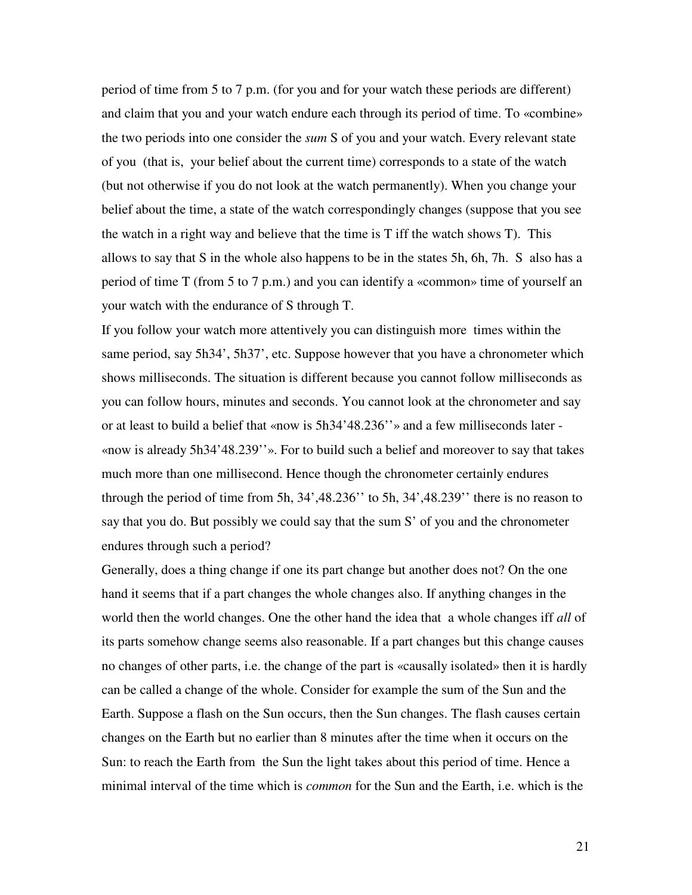period of time from 5 to 7 p.m. (for you and for your watch these periods are different) and claim that you and your watch endure each through its period of time. To «combine» the two periods into one consider the *sum* S of you and your watch. Every relevant state of you (that is, your belief about the current time) corresponds to a state of the watch (but not otherwise if you do not look at the watch permanently). When you change your belief about the time, a state of the watch correspondingly changes (suppose that you see the watch in a right way and believe that the time is T iff the watch shows T). This allows to say that S in the whole also happens to be in the states 5h, 6h, 7h. S also has a period of time T (from 5 to 7 p.m.) and you can identify a «common» time of yourself an your watch with the endurance of S through T.

If you follow your watch more attentively you can distinguish more times within the same period, say 5h34', 5h37', etc. Suppose however that you have a chronometer which shows milliseconds. The situation is different because you cannot follow milliseconds as you can follow hours, minutes and seconds. You cannot look at the chronometer and say or at least to build a belief that «now is 5h34'48.236''» and a few milliseconds later - «now is already 5h34'48.239''». For to build such a belief and moreover to say that takes much more than one millisecond. Hence though the chronometer certainly endures through the period of time from 5h, 34',48.236'' to 5h, 34',48.239'' there is no reason to say that you do. But possibly we could say that the sum S' of you and the chronometer endures through such a period?

Generally, does a thing change if one its part change but another does not? On the one hand it seems that if a part changes the whole changes also. If anything changes in the world then the world changes. One the other hand the idea that a whole changes iff *all* of its parts somehow change seems also reasonable. If a part changes but this change causes no changes of other parts, i.e. the change of the part is «causally isolated» then it is hardly can be called a change of the whole. Consider for example the sum of the Sun and the Earth. Suppose a flash on the Sun occurs, then the Sun changes. The flash causes certain changes on the Earth but no earlier than 8 minutes after the time when it occurs on the Sun: to reach the Earth from the Sun the light takes about this period of time. Hence a minimal interval of the time which is *common* for the Sun and the Earth, i.e. which is the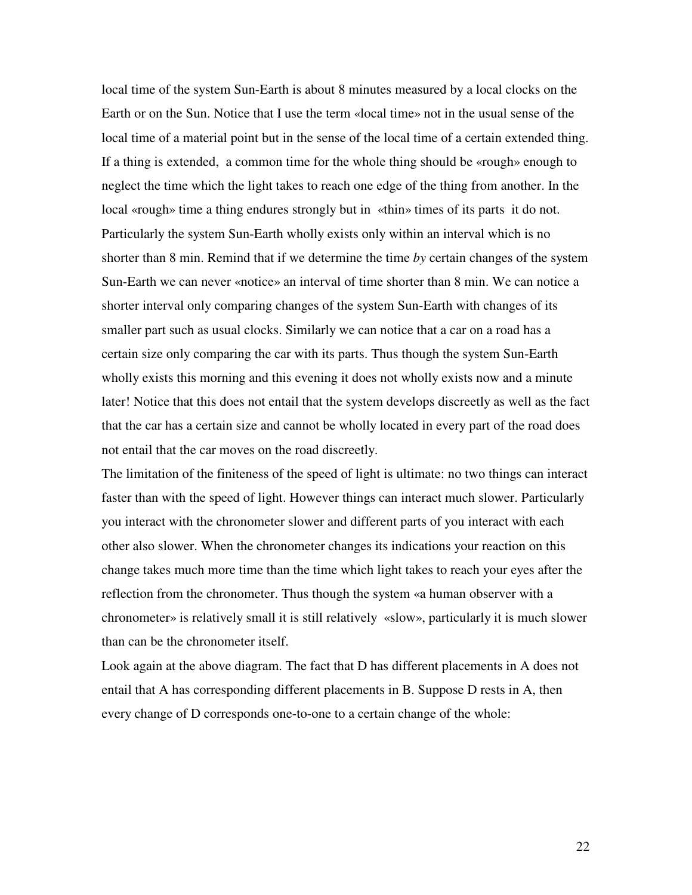local time of the system Sun-Earth is about 8 minutes measured by a local clocks on the Earth or on the Sun. Notice that I use the term «local time» not in the usual sense of the local time of a material point but in the sense of the local time of a certain extended thing. If a thing is extended, a common time for the whole thing should be «rough» enough to neglect the time which the light takes to reach one edge of the thing from another. In the local «rough» time a thing endures strongly but in «thin» times of its parts it do not. Particularly the system Sun-Earth wholly exists only within an interval which is no shorter than 8 min. Remind that if we determine the time *by* certain changes of the system Sun-Earth we can never «notice» an interval of time shorter than 8 min. We can notice a shorter interval only comparing changes of the system Sun-Earth with changes of its smaller part such as usual clocks. Similarly we can notice that a car on a road has a certain size only comparing the car with its parts. Thus though the system Sun-Earth wholly exists this morning and this evening it does not wholly exists now and a minute later! Notice that this does not entail that the system develops discreetly as well as the fact that the car has a certain size and cannot be wholly located in every part of the road does not entail that the car moves on the road discreetly.

The limitation of the finiteness of the speed of light is ultimate: no two things can interact faster than with the speed of light. However things can interact much slower. Particularly you interact with the chronometer slower and different parts of you interact with each other also slower. When the chronometer changes its indications your reaction on this change takes much more time than the time which light takes to reach your eyes after the reflection from the chronometer. Thus though the system «a human observer with a chronometer» is relatively small it is still relatively «slow», particularly it is much slower than can be the chronometer itself.

Look again at the above diagram. The fact that D has different placements in A does not entail that A has corresponding different placements in B. Suppose D rests in A, then every change of D corresponds one-to-one to a certain change of the whole: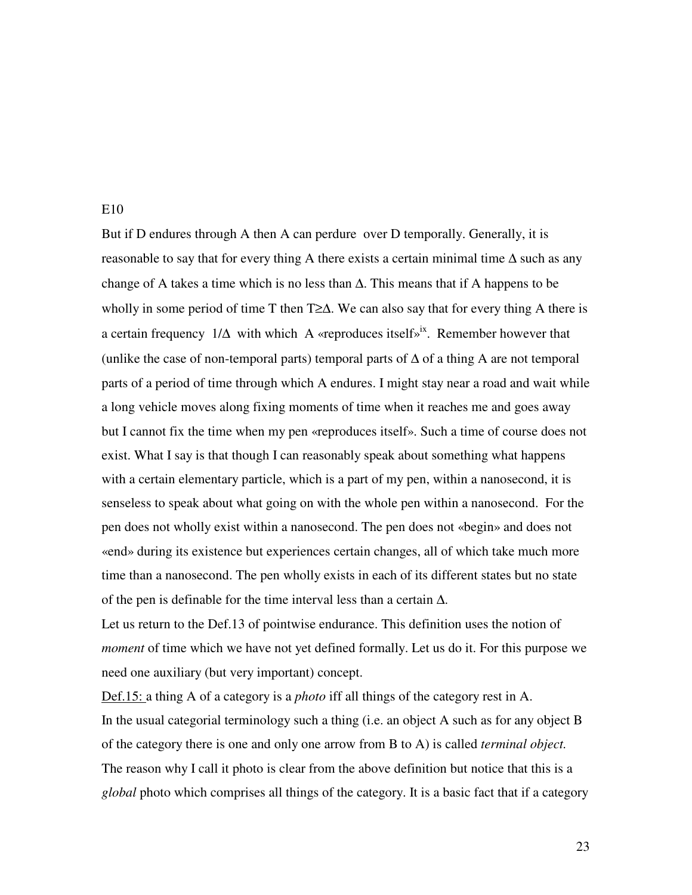### E10

But if D endures through A then A can perdure over D temporally. Generally, it is reasonable to say that for every thing A there exists a certain minimal time  $\Delta$  such as any change of A takes a time which is no less than  $\Delta$ . This means that if A happens to be wholly in some period of time T then T≥∆. We can also say that for every thing A there is a certain frequency  $1/\Delta$  with which A «reproduces itself»<sup>ix</sup>. Remember however that (unlike the case of non-temporal parts) temporal parts of  $\Delta$  of a thing A are not temporal parts of a period of time through which A endures. I might stay near a road and wait while a long vehicle moves along fixing moments of time when it reaches me and goes away but I cannot fix the time when my pen «reproduces itself». Such a time of course does not exist. What I say is that though I can reasonably speak about something what happens with a certain elementary particle, which is a part of my pen, within a nanosecond, it is senseless to speak about what going on with the whole pen within a nanosecond. For the pen does not wholly exist within a nanosecond. The pen does not «begin» and does not «end» during its existence but experiences certain changes, all of which take much more time than a nanosecond. The pen wholly exists in each of its different states but no state of the pen is definable for the time interval less than a certain ∆.

Let us return to the Def.13 of pointwise endurance. This definition uses the notion of *moment* of time which we have not yet defined formally. Let us do it. For this purpose we need one auxiliary (but very important) concept.

Def.15: a thing A of a category is a *photo* iff all things of the category rest in A. In the usual categorial terminology such a thing (i.e. an object A such as for any object B of the category there is one and only one arrow from B to A) is called *terminal object.* The reason why I call it photo is clear from the above definition but notice that this is a *global* photo which comprises all things of the category. It is a basic fact that if a category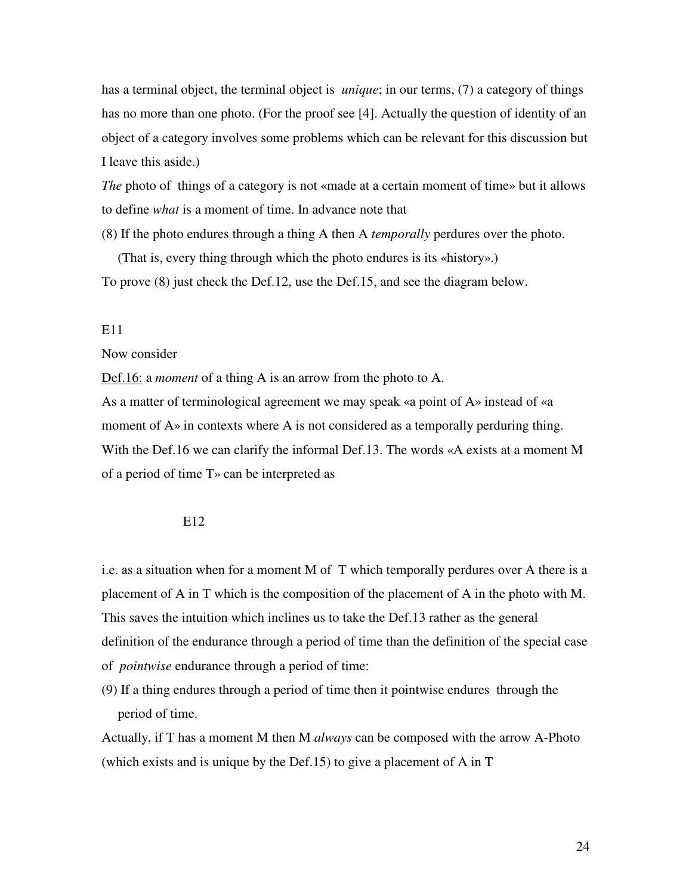has a terminal object, the terminal object is *unique*; in our terms, (7) a category of things has no more than one photo. (For the proof see [4]. Actually the question of identity of an object of a category involves some problems which can be relevant for this discussion but I leave this aside.)

*The* photo of things of a category is not «made at a certain moment of time» but it allows to define *what* is a moment of time. In advance note that

(8) If the photo endures through a thing A then A *temporally* perdures over the photo.

(That is, every thing through which the photo endures is its «history».) To prove (8) just check the Def.12, use the Def.15, and see the diagram below.

## E11

Now consider

Def.16: a *moment* of a thing A is an arrow from the photo to A.

As a matter of terminological agreement we may speak «a point of A» instead of «a moment of  $A<sub>></sub>$  in contexts where A is not considered as a temporally perduring thing. With the Def.16 we can clarify the informal Def.13. The words «A exists at a moment M of a period of time T» can be interpreted as

### E12

i.e. as a situation when for a moment M of T which temporally perdures over A there is a placement of A in T which is the composition of the placement of A in the photo with M. This saves the intuition which inclines us to take the Def.13 rather as the general definition of the endurance through a period of time than the definition of the special case of *pointwise* endurance through a period of time:

(9) If a thing endures through a period of time then it pointwise endures through the period of time.

Actually, if T has a moment M then M *always* can be composed with the arrow A-Photo (which exists and is unique by the Def.15) to give a placement of A in T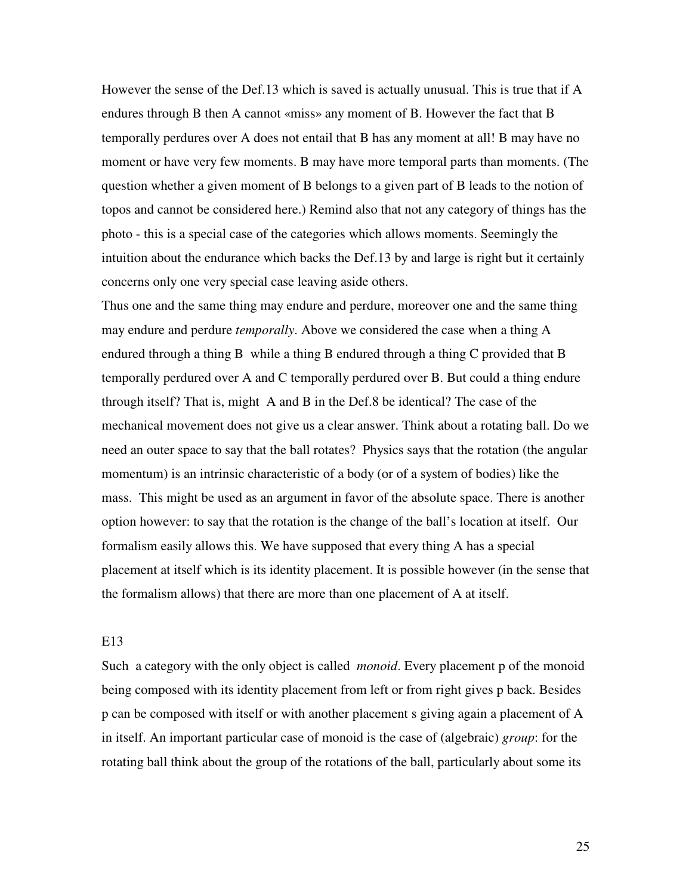However the sense of the Def.13 which is saved is actually unusual. This is true that if A endures through B then A cannot «miss» any moment of B. However the fact that B temporally perdures over A does not entail that B has any moment at all! B may have no moment or have very few moments. B may have more temporal parts than moments. (The question whether a given moment of B belongs to a given part of B leads to the notion of topos and cannot be considered here.) Remind also that not any category of things has the photo - this is a special case of the categories which allows moments. Seemingly the intuition about the endurance which backs the Def.13 by and large is right but it certainly concerns only one very special case leaving aside others.

Thus one and the same thing may endure and perdure, moreover one and the same thing may endure and perdure *temporally*. Above we considered the case when a thing A endured through a thing B while a thing B endured through a thing C provided that B temporally perdured over A and C temporally perdured over B. But could a thing endure through itself? That is, might A and B in the Def.8 be identical? The case of the mechanical movement does not give us a clear answer. Think about a rotating ball. Do we need an outer space to say that the ball rotates? Physics says that the rotation (the angular momentum) is an intrinsic characteristic of a body (or of a system of bodies) like the mass. This might be used as an argument in favor of the absolute space. There is another option however: to say that the rotation is the change of the ball's location at itself. Our formalism easily allows this. We have supposed that every thing A has a special placement at itself which is its identity placement. It is possible however (in the sense that the formalism allows) that there are more than one placement of A at itself.

## E13

Such a category with the only object is called *monoid*. Every placement p of the monoid being composed with its identity placement from left or from right gives p back. Besides p can be composed with itself or with another placement s giving again a placement of A in itself. An important particular case of monoid is the case of (algebraic) *group*: for the rotating ball think about the group of the rotations of the ball, particularly about some its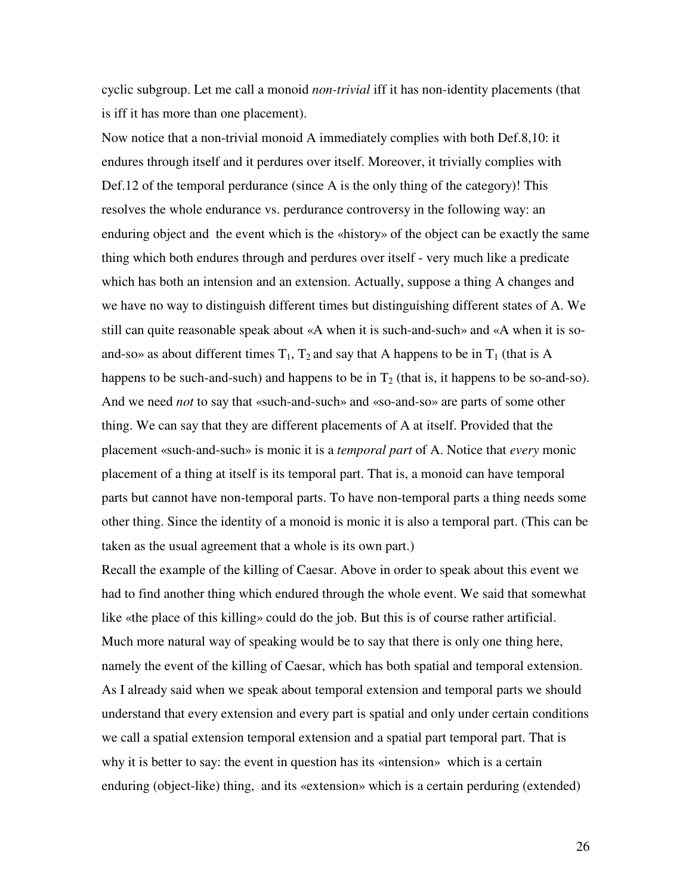cyclic subgroup. Let me call a monoid *non-trivial* iff it has non-identity placements (that is iff it has more than one placement).

Now notice that a non-trivial monoid A immediately complies with both Def.8,10: it endures through itself and it perdures over itself. Moreover, it trivially complies with Def.12 of the temporal perdurance (since A is the only thing of the category)! This resolves the whole endurance vs. perdurance controversy in the following way: an enduring object and the event which is the «history» of the object can be exactly the same thing which both endures through and perdures over itself - very much like a predicate which has both an intension and an extension. Actually, suppose a thing A changes and we have no way to distinguish different times but distinguishing different states of A. We still can quite reasonable speak about «A when it is such-and-such» and «A when it is soand-so» as about different times  $T_1$ ,  $T_2$  and say that A happens to be in  $T_1$  (that is A happens to be such-and-such) and happens to be in  $T_2$  (that is, it happens to be so-and-so). And we need *not* to say that «such-and-such» and «so-and-so» are parts of some other thing. We can say that they are different placements of A at itself. Provided that the placement «such-and-such» is monic it is a *temporal part* of A. Notice that *every* monic placement of a thing at itself is its temporal part. That is, a monoid can have temporal parts but cannot have non-temporal parts. To have non-temporal parts a thing needs some other thing. Since the identity of a monoid is monic it is also a temporal part. (This can be taken as the usual agreement that a whole is its own part.)

Recall the example of the killing of Caesar. Above in order to speak about this event we had to find another thing which endured through the whole event. We said that somewhat like «the place of this killing» could do the job. But this is of course rather artificial. Much more natural way of speaking would be to say that there is only one thing here, namely the event of the killing of Caesar, which has both spatial and temporal extension. As I already said when we speak about temporal extension and temporal parts we should understand that every extension and every part is spatial and only under certain conditions we call a spatial extension temporal extension and a spatial part temporal part. That is why it is better to say: the event in question has its «intension» which is a certain enduring (object-like) thing, and its «extension» which is a certain perduring (extended)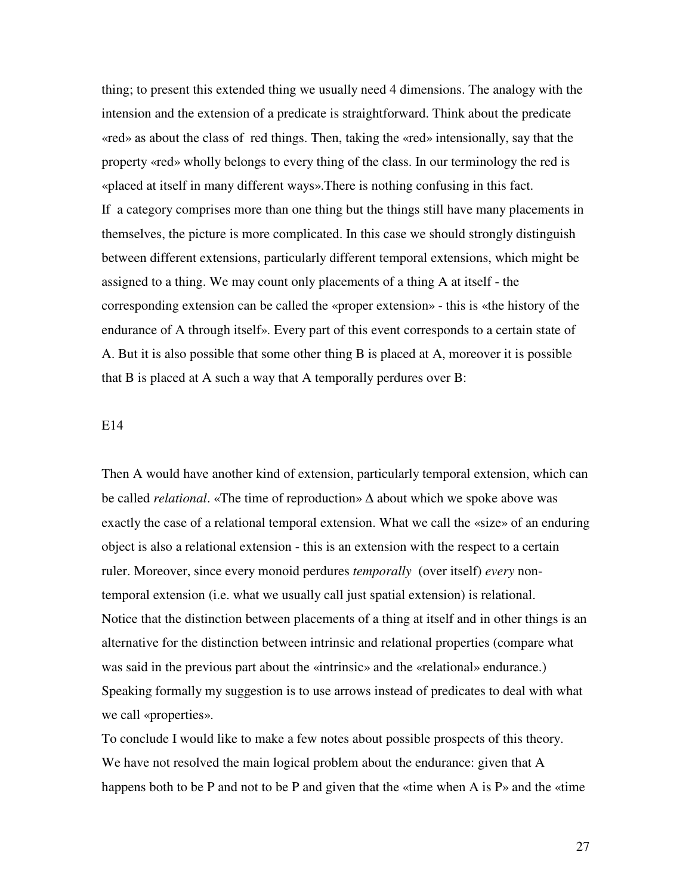thing; to present this extended thing we usually need 4 dimensions. The analogy with the intension and the extension of a predicate is straightforward. Think about the predicate «red» as about the class of red things. Then, taking the «red» intensionally, say that the property «red» wholly belongs to every thing of the class. In our terminology the red is «placed at itself in many different ways».There is nothing confusing in this fact. If a category comprises more than one thing but the things still have many placements in themselves, the picture is more complicated. In this case we should strongly distinguish between different extensions, particularly different temporal extensions, which might be assigned to a thing. We may count only placements of a thing A at itself - the corresponding extension can be called the «proper extension» - this is «the history of the endurance of A through itself». Every part of this event corresponds to a certain state of A. But it is also possible that some other thing B is placed at A, moreover it is possible that B is placed at A such a way that A temporally perdures over B:

#### E14

Then A would have another kind of extension, particularly temporal extension, which can be called *relational*. «The time of reproduction» ∆ about which we spoke above was exactly the case of a relational temporal extension. What we call the «size» of an enduring object is also a relational extension - this is an extension with the respect to a certain ruler. Moreover, since every monoid perdures *temporally* (over itself) *every* nontemporal extension (i.e. what we usually call just spatial extension) is relational. Notice that the distinction between placements of a thing at itself and in other things is an alternative for the distinction between intrinsic and relational properties (compare what was said in the previous part about the «intrinsic» and the «relational» endurance.) Speaking formally my suggestion is to use arrows instead of predicates to deal with what we call «properties».

To conclude I would like to make a few notes about possible prospects of this theory. We have not resolved the main logical problem about the endurance: given that A happens both to be P and not to be P and given that the «time when A is  $P<sub>9</sub>$  and the «time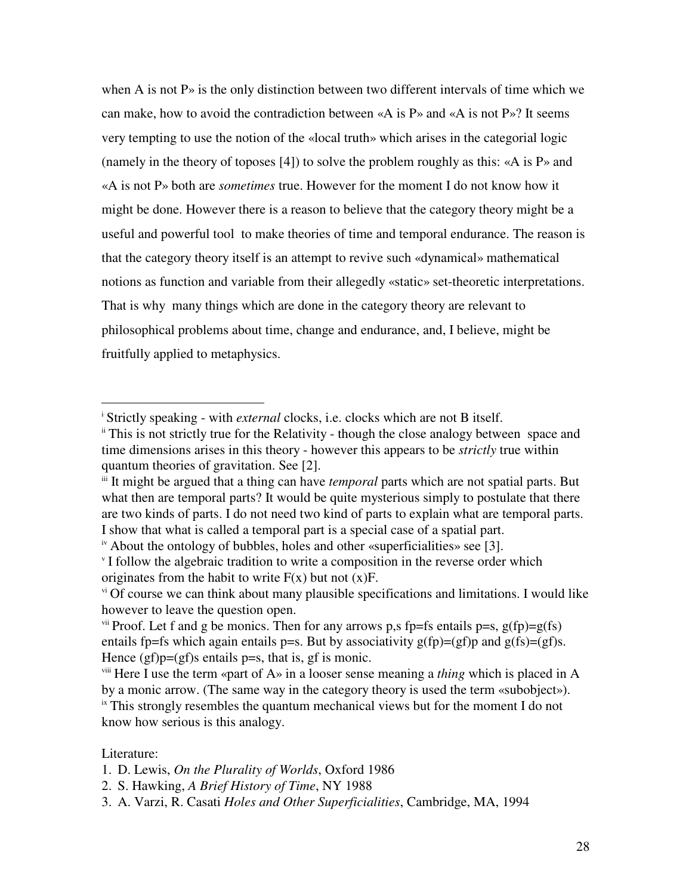when A is not  $P<sub>o</sub>$  is the only distinction between two different intervals of time which we can make, how to avoid the contradiction between  $\ll A$  is P» and  $\ll A$  is not P»? It seems very tempting to use the notion of the «local truth» which arises in the categorial logic (namely in the theory of toposes [4]) to solve the problem roughly as this: «A is P» and «A is not P» both are *sometimes* true. However for the moment I do not know how it might be done. However there is a reason to believe that the category theory might be a useful and powerful tool to make theories of time and temporal endurance. The reason is that the category theory itself is an attempt to revive such «dynamical» mathematical notions as function and variable from their allegedly «static» set-theoretic interpretations. That is why many things which are done in the category theory are relevant to philosophical problems about time, change and endurance, and, I believe, might be fruitfully applied to metaphysics.

## Literature:

 $\overline{a}$ 

<sup>&</sup>lt;sup>i</sup> Strictly speaking - with *external* clocks, i.e. clocks which are not B itself.

<sup>&</sup>lt;sup>ii</sup> This is not strictly true for the Relativity - though the close analogy between space and time dimensions arises in this theory - however this appears to be *strictly* true within quantum theories of gravitation. See [2].

iii It might be argued that a thing can have *temporal* parts which are not spatial parts. But what then are temporal parts? It would be quite mysterious simply to postulate that there are two kinds of parts. I do not need two kind of parts to explain what are temporal parts. I show that what is called a temporal part is a special case of a spatial part.

iv About the ontology of bubbles, holes and other «superficialities» see [3].

If follow the algebraic tradition to write a composition in the reverse order which originates from the habit to write  $F(x)$  but not  $(x)F$ .

vi Of course we can think about many plausible specifications and limitations. I would like however to leave the question open.

v<sup>ii</sup> Proof. Let f and g be monics. Then for any arrows p,s fp=fs entails p=s,  $g(fp)=g(fs)$ entails fp=fs which again entails p=s. But by associativity  $g(fp)=(gf)p$  and  $g(fs)=(gf)s$ . Hence  $(gf)p=(gf)s$  entails  $p=s$ , that is, gf is monic.

viii Here I use the term «part of A» in a looser sense meaning a *thing* which is placed in A by a monic arrow. (The same way in the category theory is used the term «subobject»).  $\frac{1}{x}$  This strongly resembles the quantum mechanical views but for the moment I do not know how serious is this analogy.

<sup>1.</sup> D. Lewis, *On the Plurality of Worlds*, Oxford 1986

<sup>2.</sup> S. Hawking, *A Brief History of Time*, NY 1988

<sup>3.</sup> A. Varzi, R. Casati *Holes and Other Superficialities*, Cambridge, MA, 1994